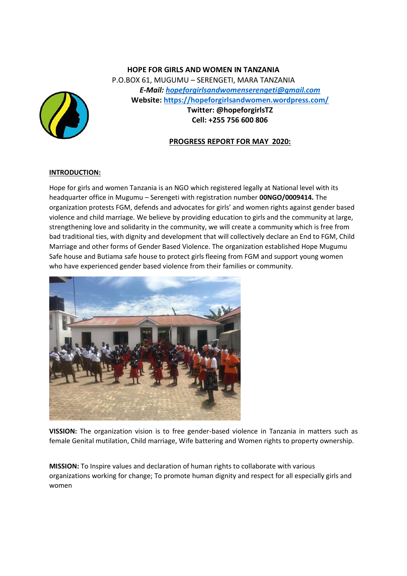# **HOPE FOR GIRLS AND WOMEN IN TANZANIA** P.O.BOX 61, MUGUMU – SERENGETI, MARA TANZANIA *E-Mail: [hopeforgirlsandwomenserengeti@gmail.com](mailto:hopeforgirlsandwomenserengeti@gmail.com)* **Website: <https://hopeforgirlsandwomen.wordpress.com/> Twitter: @hopeforgirlsTZ Cell: +255 756 600 806**



# **INTRODUCTION:**

Hope for girls and women Tanzania is an NGO which registered legally at National level with its headquarter office in Mugumu – Serengeti with registration number **00NGO/0009414.** The organization protests FGM, defends and advocates for girls' and women rights against gender based violence and child marriage. We believe by providing education to girls and the community at large, strengthening love and solidarity in the community, we will create a community which is free from bad traditional ties, with dignity and development that will collectively declare an End to FGM, Child Marriage and other forms of Gender Based Violence. The organization established Hope Mugumu Safe house and Butiama safe house to protect girls fleeing from FGM and support young women who have experienced gender based violence from their families or community.



**VISSION:** The organization vision is to free gender-based violence in Tanzania in matters such as female Genital mutilation, Child marriage, Wife battering and Women rights to property ownership.

**MISSION:** To Inspire values and declaration of human rights to collaborate with various organizations working for change; To promote human dignity and respect for all especially girls and women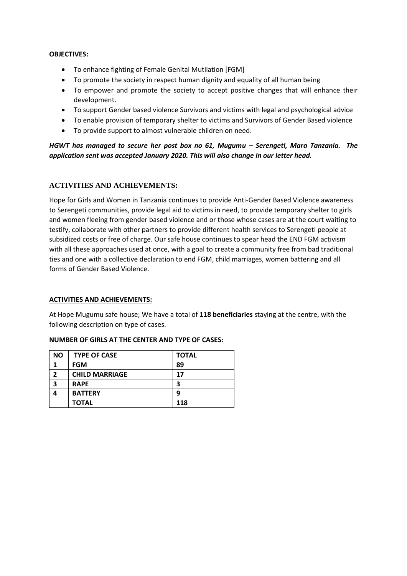#### **OBJECTIVES:**

- To enhance fighting of Female Genital Mutilation [FGM]
- To promote the society in respect human dignity and equality of all human being
- To empower and promote the society to accept positive changes that will enhance their development.
- To support Gender based violence Survivors and victims with legal and psychological advice
- To enable provision of temporary shelter to victims and Survivors of Gender Based violence
- To provide support to almost vulnerable children on need.

*HGWT has managed to secure her post box no 61, Mugumu – Serengeti, Mara Tanzania. The application sent was accepted January 2020. This will also change in our letter head.*

# **ACTIVITIES AND ACHIEVEMENTS:**

Hope for Girls and Women in Tanzania continues to provide Anti-Gender Based Violence awareness to Serengeti communities, provide legal aid to victims in need, to provide temporary shelter to girls and women fleeing from gender based violence and or those whose cases are at the court waiting to testify, collaborate with other partners to provide different health services to Serengeti people at subsidized costs or free of charge. Our safe house continues to spear head the END FGM activism with all these approaches used at once, with a goal to create a community free from bad traditional ties and one with a collective declaration to end FGM, child marriages, women battering and all forms of Gender Based Violence.

#### **ACTIVITIES AND ACHIEVEMENTS:**

At Hope Mugumu safe house; We have a total of **118 beneficiaries** staying at the centre, with the following description on type of cases.

| <b>NO</b> | <b>TYPE OF CASE</b>   | <b>TOTAL</b> |
|-----------|-----------------------|--------------|
|           | <b>FGM</b>            | 89           |
| ר         | <b>CHILD MARRIAGE</b> | 17           |
| 3         | <b>RAPE</b>           | 3            |
|           | <b>BATTERY</b>        | 9            |
|           | <b>TOTAL</b>          | 118          |

#### **NUMBER OF GIRLS AT THE CENTER AND TYPE OF CASES:**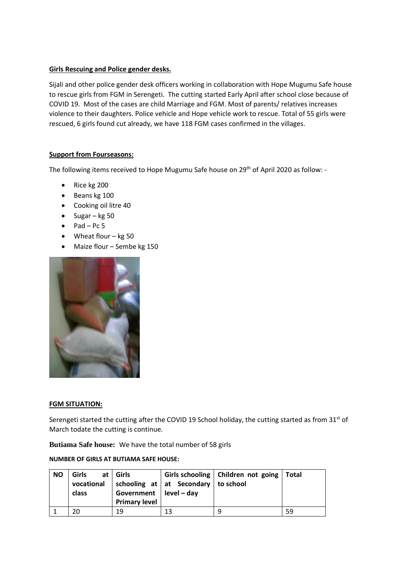# **Girls Rescuing and Police gender desks.**

Sijali and other police gender desk officers working in collaboration with Hope Mugumu Safe house to rescue girls from FGM in Serengeti. The cutting started Early April after school close because of COVID 19. Most of the cases are child Marriage and FGM. Most of parents/ relatives increases violence to their daughters. Police vehicle and Hope vehicle work to rescue. Total of 55 girls were rescued, 6 girls found cut already, we have 118 FGM cases confirmed in the villages.

# **Support from Fourseasons:**

The following items received to Hope Mugumu Safe house on 29<sup>th</sup> of April 2020 as follow: -

- Rice kg 200
- Beans kg 100
- Cooking oil litre 40
- Sugar kg 50
- $\bullet$  Pad Pc 5
- Wheat flour kg 50
- Maize flour Sembe kg 150



#### **FGM SITUATION:**

Serengeti started the cutting after the COVID 19 School holiday, the cutting started as from 31<sup>st</sup> of March todate the cutting is continue.

**Butiama Safe house:** We have the total number of 58 girls

#### **NUMBER OF GIRLS AT BUTIAMA SAFE HOUSE:**

| <b>NO</b> | <b>Girls</b><br>class | at   Girls<br>Government   $level - day$<br><b>Primary level</b> | vocational   schooling at $\vert$ at Secondary   to school | Girls schooling   Children not going   Total |    |
|-----------|-----------------------|------------------------------------------------------------------|------------------------------------------------------------|----------------------------------------------|----|
|           | 20                    | 19                                                               | 13                                                         | q                                            | 59 |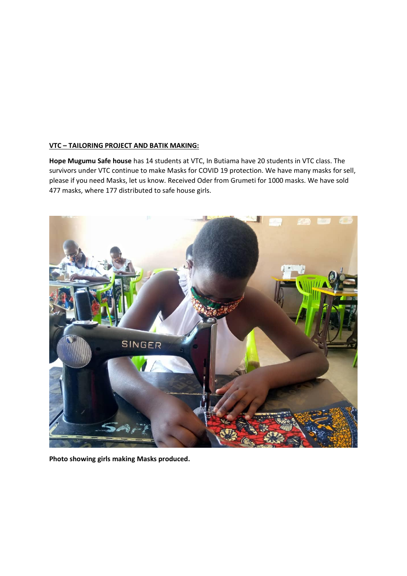#### **VTC – TAILORING PROJECT AND BATIK MAKING:**

**Hope Mugumu Safe house** has 14 students at VTC, In Butiama have 20 students in VTC class. The survivors under VTC continue to make Masks for COVID 19 protection. We have many masks for sell, please if you need Masks, let us know. Received Oder from Grumeti for 1000 masks. We have sold 477 masks, where 177 distributed to safe house girls.



**Photo showing girls making Masks produced.**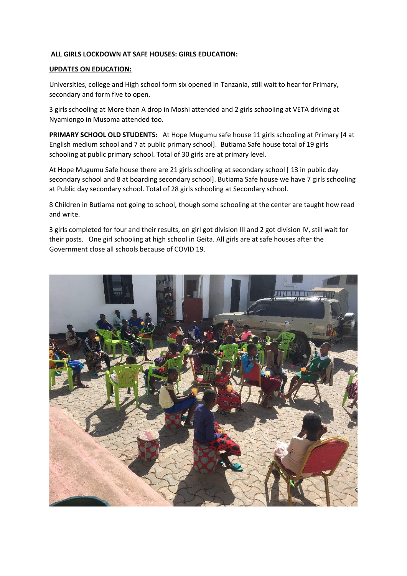#### **ALL GIRLS LOCKDOWN AT SAFE HOUSES: GIRLS EDUCATION:**

#### **UPDATES ON EDUCATION:**

Universities, college and High school form six opened in Tanzania, still wait to hear for Primary, secondary and form five to open.

3 girls schooling at More than A drop in Moshi attended and 2 girls schooling at VETA driving at Nyamiongo in Musoma attended too.

**PRIMARY SCHOOL OLD STUDENTS:** At Hope Mugumu safe house 11 girls schooling at Primary [4 at English medium school and 7 at public primary school]. Butiama Safe house total of 19 girls schooling at public primary school. Total of 30 girls are at primary level.

At Hope Mugumu Safe house there are 21 girls schooling at secondary school [ 13 in public day secondary school and 8 at boarding secondary school]. Butiama Safe house we have 7 girls schooling at Public day secondary school. Total of 28 girls schooling at Secondary school.

8 Children in Butiama not going to school, though some schooling at the center are taught how read and write.

3 girls completed for four and their results, on girl got division III and 2 got division IV, still wait for their posts. One girl schooling at high school in Geita. All girls are at safe houses after the Government close all schools because of COVID 19.

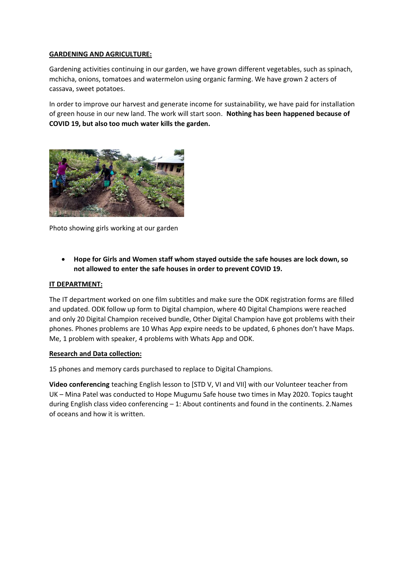# **GARDENING AND AGRICULTURE:**

Gardening activities continuing in our garden, we have grown different vegetables, such as spinach, mchicha, onions, tomatoes and watermelon using organic farming. We have grown 2 acters of cassava, sweet potatoes.

In order to improve our harvest and generate income for sustainability, we have paid for installation of green house in our new land. The work will start soon. **Nothing has been happened because of COVID 19, but also too much water kills the garden.**



Photo showing girls working at our garden

• **Hope for Girls and Women staff whom stayed outside the safe houses are lock down, so not allowed to enter the safe houses in order to prevent COVID 19.**

## **IT DEPARTMENT:**

The IT department worked on one film subtitles and make sure the ODK registration forms are filled and updated. ODK follow up form to Digital champion, where 40 Digital Champions were reached and only 20 Digital Champion received bundle, Other Digital Champion have got problems with their phones. Phones problems are 10 Whas App expire needs to be updated, 6 phones don't have Maps. Me, 1 problem with speaker, 4 problems with Whats App and ODK.

#### **Research and Data collection:**

15 phones and memory cards purchased to replace to Digital Champions.

**Video conferencing** teaching English lesson to [STD V, VI and VII] with our Volunteer teacher from UK – Mina Patel was conducted to Hope Mugumu Safe house two times in May 2020. Topics taught during English class video conferencing  $-1$ : About continents and found in the continents. 2. Names of oceans and how it is written.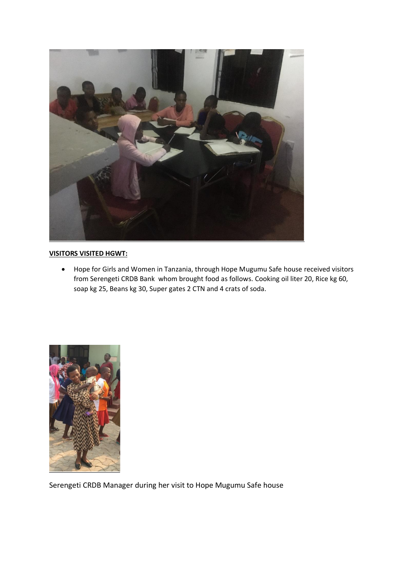

# **VISITORS VISITED HGWT:**

• Hope for Girls and Women in Tanzania, through Hope Mugumu Safe house received visitors from Serengeti CRDB Bank whom brought food as follows. Cooking oil liter 20, Rice kg 60, soap kg 25, Beans kg 30, Super gates 2 CTN and 4 crats of soda.



Serengeti CRDB Manager during her visit to Hope Mugumu Safe house